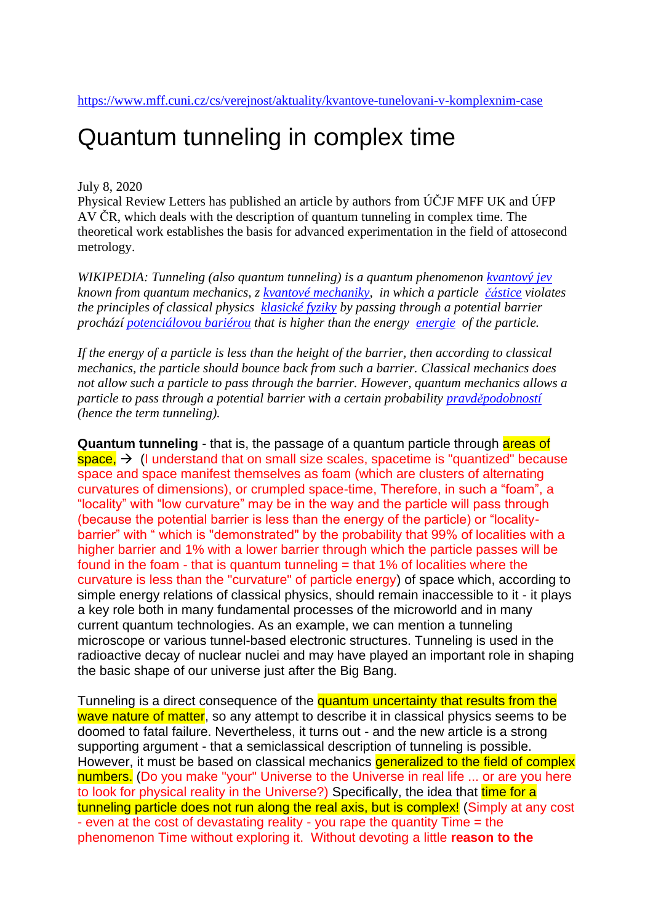## Quantum tunneling in complex time

## July 8, 2020

Physical Review Letters has published an article by authors from ÚČJF MFF UK and ÚFP AV ČR, which deals with the description of quantum tunneling in complex time. The theoretical work establishes the basis for advanced experimentation in the field of attosecond metrology.

*WIKIPEDIA: Tunneling (also quantum tunneling) is a quantum phenomenon [kvantový jev](https://cs.wikipedia.org/w/index.php?title=Kvantov%C3%BD_jev&action=edit&redlink=1) known from quantum mechanics, z [kvantové mechaniky,](https://cs.wikipedia.org/wiki/Kvantov%C3%A1_mechanika) in which a particle [částice](https://cs.wikipedia.org/wiki/%C4%8C%C3%A1stice) violates the principles of classical physics [klasické fyziky](https://cs.wikipedia.org/wiki/Klasick%C3%A1_fyzika) by passing through a potential barrier prochází [potenciálovou bariérou](https://cs.wikipedia.org/wiki/Potenci%C3%A1lov%C3%A1_bari%C3%A9ra) that is higher than the energy [energie](https://cs.wikipedia.org/wiki/Energie) of the particle.* 

*If the energy of a particle is less than the height of the barrier, then according to classical mechanics, the particle should bounce back from such a barrier. Classical mechanics does not allow such a particle to pass through the barrier. However, quantum mechanics allows a particle to pass through a potential barrier with a certain probability [pravděpodobností](https://cs.wikipedia.org/wiki/Pravd%C4%9Bpodobnost)  (hence the term tunneling).*

**Quantum tunneling** - that is, the passage of a quantum particle through areas of space,  $\rightarrow$  (I understand that on small size scales, spacetime is "quantized" because space and space manifest themselves as foam (which are clusters of alternating curvatures of dimensions), or crumpled space-time, Therefore, in such a "foam", a "locality" with "low curvature" may be in the way and the particle will pass through (because the potential barrier is less than the energy of the particle) or "localitybarrier" with " which is "demonstrated" by the probability that 99% of localities with a higher barrier and 1% with a lower barrier through which the particle passes will be found in the foam - that is quantum tunneling  $=$  that 1% of localities where the curvature is less than the "curvature" of particle energy) of space which, according to simple energy relations of classical physics, should remain inaccessible to it - it plays a key role both in many fundamental processes of the microworld and in many current quantum technologies. As an example, we can mention a tunneling microscope or various tunnel-based electronic structures. Tunneling is used in the radioactive decay of nuclear nuclei and may have played an important role in shaping the basic shape of our universe just after the Big Bang.

Tunneling is a direct consequence of the quantum uncertainty that results from the wave nature of matter, so any attempt to describe it in classical physics seems to be doomed to fatal failure. Nevertheless, it turns out - and the new article is a strong supporting argument - that a semiclassical description of tunneling is possible. However, it must be based on classical mechanics **generalized to the field of complex** numbers. (Do you make "your" Universe to the Universe in real life ... or are you here to look for physical reality in the Universe?) Specifically, the idea that time for a tunneling particle does not run along the real axis, but is complex! (Simply at any cost - even at the cost of devastating reality - you rape the quantity Time = the phenomenon Time without exploring it. Without devoting a little **reason to the**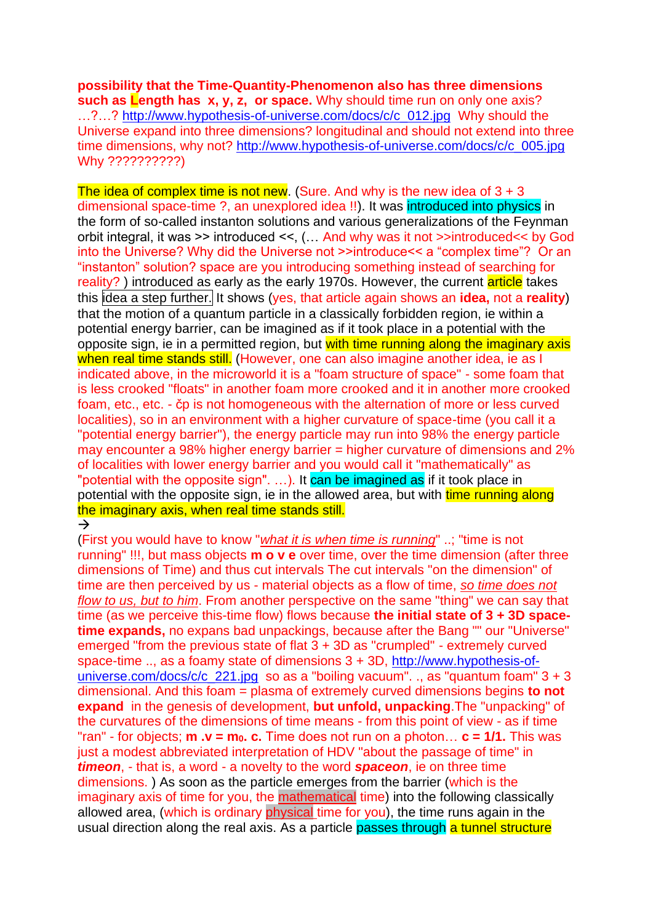**possibility that the Time-Quantity-Phenomenon also has three dimensions such as Length has x, y, z, or space.** Why should time run on only one axis? ...?...? [http://www.hypothesis-of-universe.com/docs/c/c\\_012.jpg](http://www.hypothesis-of-universe.com/docs/c/c_012.jpg) Why should the Universe expand into three dimensions? longitudinal and should not extend into three time dimensions, why not? [http://www.hypothesis-of-universe.com/docs/c/c\\_005.jpg](http://www.hypothesis-of-universe.com/docs/c/c_005.jpg)  Why ??????????)

The idea of complex time is not new. (Sure, And why is the new idea of  $3 + 3$ dimensional space-time ?, an unexplored idea !!). It was introduced into physics in the form of so-called instanton solutions and various generalizations of the Feynman orbit integral, it was >> introduced <<, (… And why was it not >>introduced<< by God into the Universe? Why did the Universe not >>introduce<< a "complex time"? Or an "instanton" solution? space are you introducing something instead of searching for reality?) introduced as early as the early 1970s. However, the current article takes this idea a step further. It shows (yes, that article again shows an **idea**, not a **reality**) that the motion of a quantum particle in a classically forbidden region, ie within a potential energy barrier, can be imagined as if it took place in a potential with the opposite sign, ie in a permitted region, but with time running along the imaginary axis when real time stands still. (However, one can also imagine another idea, ie as I indicated above, in the microworld it is a "foam structure of space" - some foam that is less crooked "floats" in another foam more crooked and it in another more crooked foam, etc., etc. - čp is not homogeneous with the alternation of more or less curved localities), so in an environment with a higher curvature of space-time (you call it a "potential energy barrier"), the energy particle may run into 98% the energy particle may encounter a 98% higher energy barrier = higher curvature of dimensions and 2% of localities with lower energy barrier and you would call it "mathematically" as "potential with the opposite sign". ...). It can be imagined as if it took place in potential with the opposite sign, ie in the allowed area, but with time running along the imaginary axis, when real time stands still.  $\rightarrow$ 

(First you would have to know "*what it is when time is running*" ..; "time is not running" !!!, but mass objects **m o v e** over time, over the time dimension (after three dimensions of Time) and thus cut intervals The cut intervals "on the dimension" of time are then perceived by us - material objects as a flow of time, *so time does not flow to us, but to him*. From another perspective on the same "thing" we can say that time (as we perceive this-time flow) flows because **the initial state of 3 + 3D spacetime expands,** no expans bad unpackings, because after the Bang "" our "Universe" emerged "from the previous state of flat 3 + 3D as "crumpled" - extremely curved space-time .., as a foamy state of dimensions 3 + 3D, [http://www.hypothesis-of](http://www.hypothesis-of-universe.com/docs/c/c_221.jpg)[universe.com/docs/c/c\\_221.jpg](http://www.hypothesis-of-universe.com/docs/c/c_221.jpg) so as a "boiling vacuum". ., as "quantum foam"  $3 + 3$ dimensional. And this foam = plasma of extremely curved dimensions begins **to not expand** in the genesis of development, **but unfold, unpacking**.The "unpacking" of the curvatures of the dimensions of time means - from this point of view - as if time "ran" - for objects; **m .v = m0. c.** Time does not run on a photon… **c = 1/1.** This was just a modest abbreviated interpretation of HDV "about the passage of time" in *timeon*, - that is, a word - a novelty to the word *spaceon*, ie on three time dimensions. ) As soon as the particle emerges from the barrier (which is the imaginary axis of time for you, the mathematical time) into the following classically allowed area, (which is ordinary physical time for you), the time runs again in the usual direction along the real axis. As a particle passes through a tunnel structure